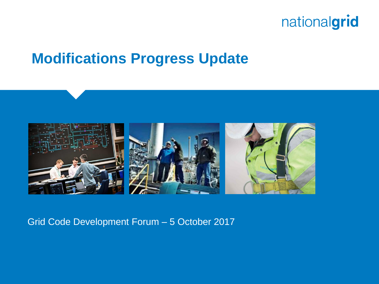### **Modifications Progress Update**



#### Grid Code Development Forum – 5 October 2017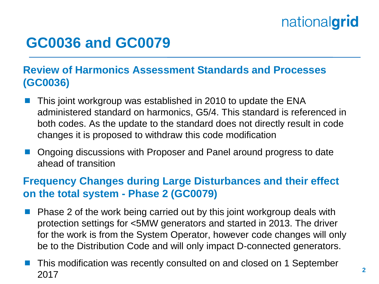### **GC0036 and GC0079**

### **Review of Harmonics Assessment Standards and Processes (GC0036)**

- This joint workgroup was established in 2010 to update the ENA administered standard on harmonics, G5/4. This standard is referenced in both codes. As the update to the standard does not directly result in code changes it is proposed to withdraw this code modification
- Ongoing discussions with Proposer and Panel around progress to date ahead of transition

### **Frequency Changes during Large Disturbances and their effect on the total system - Phase 2 (GC0079)**

- Phase 2 of the work being carried out by this joint workgroup deals with protection settings for <5MW generators and started in 2013. The driver for the work is from the System Operator, however code changes will only be to the Distribution Code and will only impact D-connected generators.
- This modification was recently consulted on and closed on 1 September 2017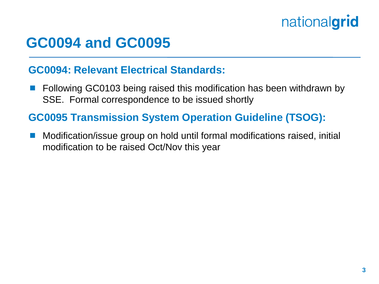### **GC0094 and GC0095**

#### **GC0094: Relevant Electrical Standards:**

 Following GC0103 being raised this modification has been withdrawn by SSE. Formal correspondence to be issued shortly

### **GC0095 Transmission System Operation Guideline (TSOG):**

 Modification/issue group on hold until formal modifications raised, initial modification to be raised Oct/Nov this year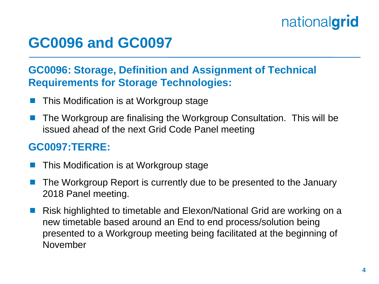### **GC0096 and GC0097**

### **GC0096: Storage, Definition and Assignment of Technical Requirements for Storage Technologies:**

- This Modification is at Workgroup stage
- The Workgroup are finalising the Workgroup Consultation. This will be issued ahead of the next Grid Code Panel meeting

### **GC0097:TERRE:**

- This Modification is at Workgroup stage
- The Workgroup Report is currently due to be presented to the January 2018 Panel meeting.
- Risk highlighted to timetable and Elexon/National Grid are working on a new timetable based around an End to end process/solution being presented to a Workgroup meeting being facilitated at the beginning of November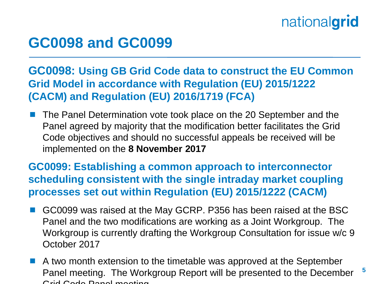### **GC0098 and GC0099**

### **GC0098: Using GB Grid Code data to construct the EU Common Grid Model in accordance with Regulation (EU) 2015/1222 (CACM) and Regulation (EU) 2016/1719 (FCA)**

 The Panel Determination vote took place on the 20 September and the Panel agreed by majority that the modification better facilitates the Grid Code objectives and should no successful appeals be received will be implemented on the **8 November 2017**

**GC0099: Establishing a common approach to interconnector scheduling consistent with the single intraday market coupling processes set out within Regulation (EU) 2015/1222 (CACM)**

- GC0099 was raised at the May GCRP. P356 has been raised at the BSC Panel and the two modifications are working as a Joint Workgroup. The Workgroup is currently drafting the Workgroup Consultation for issue w/c 9 October 2017
- **5** A two month extension to the timetable was approved at the September Panel meeting. The Workgroup Report will be presented to the December Grid Code Panel meeting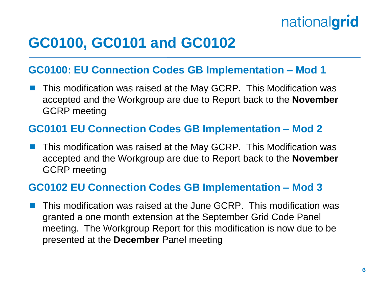## **GC0100, GC0101 and GC0102**

#### **GC0100: EU Connection Codes GB Implementation – Mod 1**

 This modification was raised at the May GCRP. This Modification was accepted and the Workgroup are due to Report back to the **November** GCRP meeting

#### **GC0101 EU Connection Codes GB Implementation – Mod 2**

 This modification was raised at the May GCRP. This Modification was accepted and the Workgroup are due to Report back to the **November** GCRP meeting

#### **GC0102 EU Connection Codes GB Implementation – Mod 3**

 This modification was raised at the June GCRP. This modification was granted a one month extension at the September Grid Code Panel meeting. The Workgroup Report for this modification is now due to be presented at the **December** Panel meeting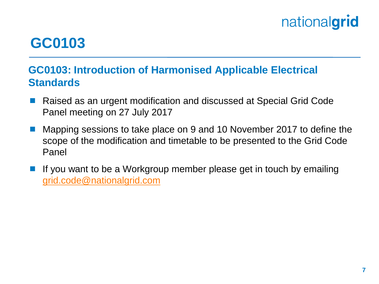## **GC0103**

### **GC0103: Introduction of Harmonised Applicable Electrical Standards**

- Raised as an urgent modification and discussed at Special Grid Code Panel meeting on 27 July 2017
- Mapping sessions to take place on 9 and 10 November 2017 to define the scope of the modification and timetable to be presented to the Grid Code Panel
- If you want to be a Workgroup member please get in touch by emailing [grid.code@nationalgrid.com](mailto:grid.code@nationalgrid.com)